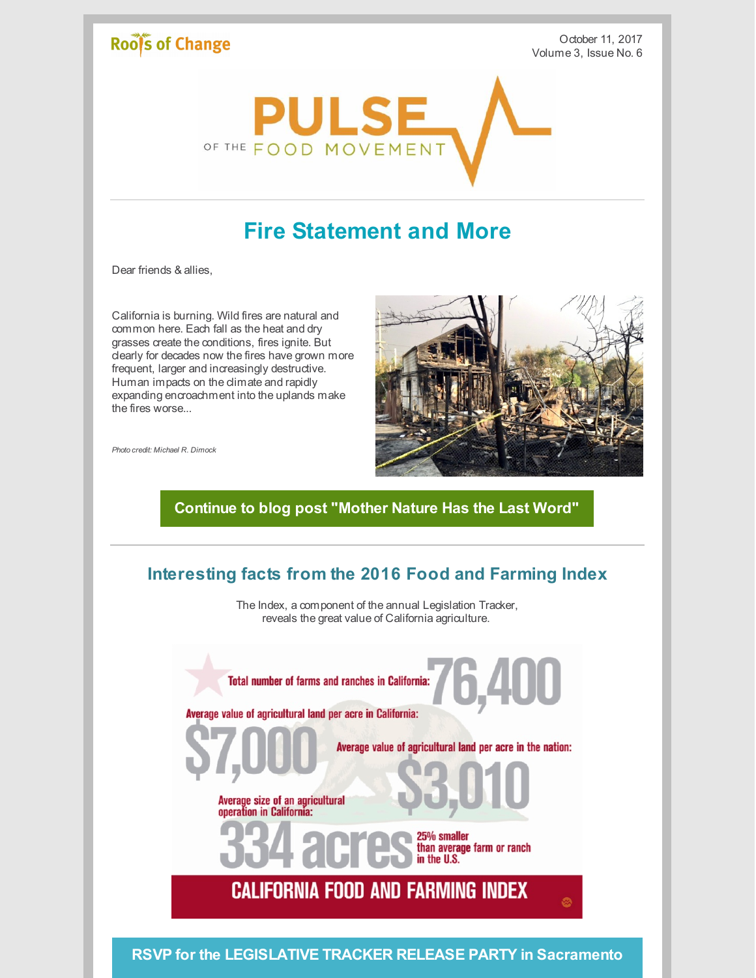# Roof's of Change

October 11, 2017 Volume 3, Issue No. 6



# **Fire Statement and More**

Dear friends & allies,

California is burning. Wild fires are natural and common here. Each fall as the heat and dry grasses create the conditions, fires ignite. But clearly for decades now the fires have grown more frequent, larger and increasingly destructive. Human impacts on the climate and rapidly expanding encroachment into the uplands make the fires worse...



*Photo credit: Michael R. Dimock*

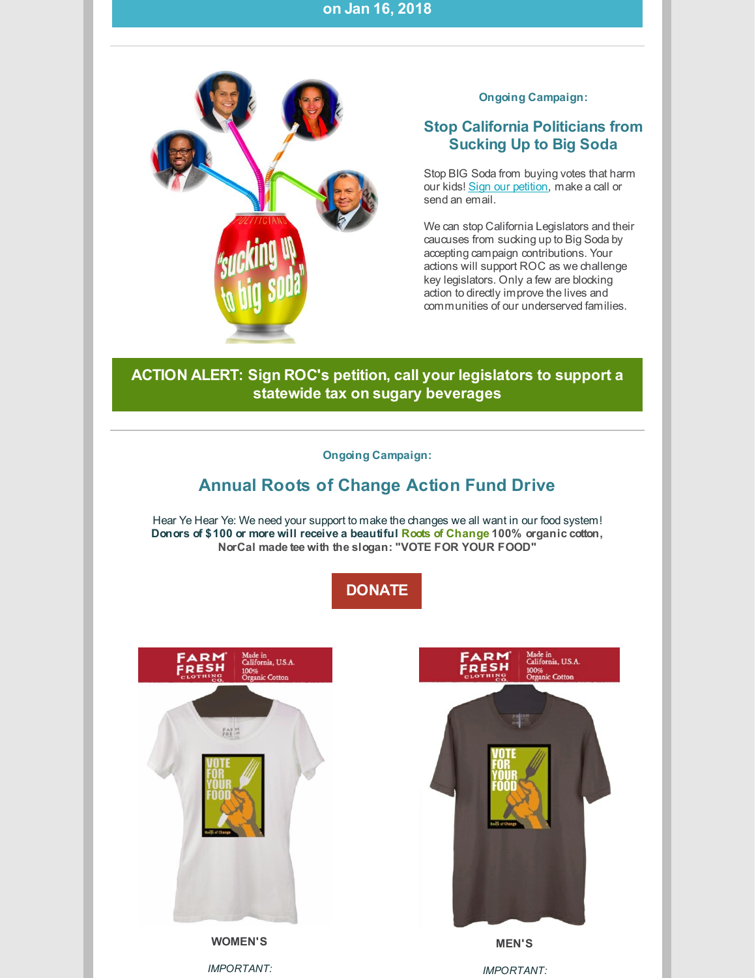#### **on Jan 16, 2018**



#### **Ongoing Campaign:**

## **Stop California Politicians from Sucking Up to Big Soda**

Stop BIG Soda from buying votes that harm our kids! Sign our [petition](http://www.rootsofchange.org/get-involved/take-action/), make a call or send an email.

We can stop California Legislators and their caucuses from sucking up to Big Soda by accepting campaign contributions. Your actions will support ROC as we challenge key legislators. Only a few are blocking action to directly improve the lives and communities of our underserved families.

## **ACTION ALERT: Sign ROC's petition, call your [legislators](http://www.rootsofchange.org/get-involved/take-action/) to support a statewide tax on sugary beverages**

#### **Ongoing Campaign:**

## **Annual Roots of Change Action Fund Drive**

Hear Ye Hear Ye: We need your support to make the changes we all want in our food system! **Donors of \$100 or more will receive a beautiful Roots of Change 100% organic cotton, NorCal made tee with the slogan: "VOTE FOR YOUR FOOD"**







*IMPORTANT:*

*IMPORTANT:*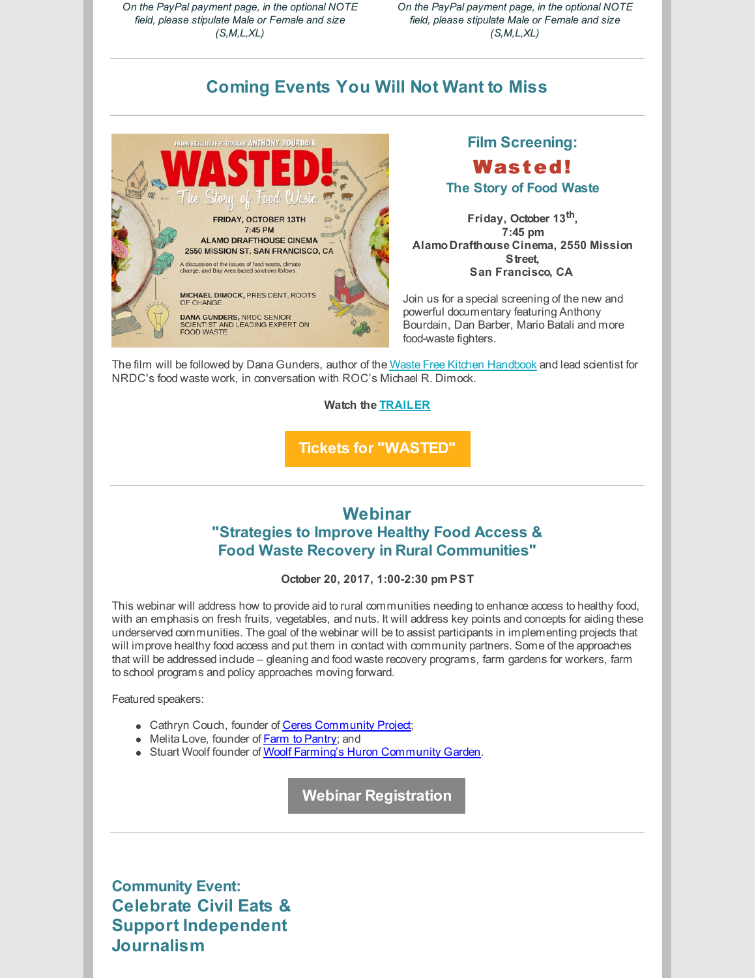*On the PayPal payment page, in the optional NOTE field, please stipulate Male or Female and size (S,M,L,XL)*

*On the PayPal payment page, in the optional NOTE field, please stipulate Male or Female and size (S,M,L,XL)*

## **Coming Events You Will Not Want to Miss**



**Film Screening:** Wasted!

**The Story of Food Waste**

**Friday, October 13 th , 7:45 pm Alamo Drafthouse Cinema, 2550 Mission Street, San Francisco, CA**

Join us for a special screening of the new and powerful documentary featuring Anthony Bourdain, Dan Barber, Mario Batali and more food-waste fighters.

The film will be followed by Dana Gunders, author of the Waste Free Kitchen [Handbook](https://www.amazon.com/gp/product/1452133549/ref=as_li_qf_sp_asin_il_tl?ie=UTF8&camp=1789&creative=9325&creativeASIN=1452133549&linkCode=as2&tag=danagund0f-20&linkId=5QNKMTYNFKYVIFG7) and lead scientist for NRDC's food waste work, in conversation with ROC's Michael R. Dimock.

**Watch the [TRAILER](https://www.youtube.com/watch?v=KUQGVSyXDWA&feature=youtu.be)**

**Tickets for ["WASTED"](https://drafthouse.com/show/wasted-the-story-of-food-waste)**

## **Webinar "Strategies to Improve Healthy Food Access & Food Waste Recovery in Rural Communities"**

#### **October 20, 2017, 1:00-2:30 pm PST**

This webinar will address how to provide aid to rural communities needing to enhance access to healthy food, with an emphasis on fresh fruits, vegetables, and nuts. It will address key points and concepts for aiding these underserved communities. The goal of the webinar will be to assist participants in implementing projects that will improve healthy food access and put them in contact with community partners. Some of the approaches that will be addressed include – gleaning and food waste recovery programs, farm gardens for workers, farm to school programs and policy approaches moving forward.

Featured speakers:

- Cathryn Couch, founder of Ceres [Community](https://www.ceresproject.org/) Project;
- Melita Love, founder of **Farm to [Pantry](http://www.farmtopantry.org/)**; and
- Stuart Woolf founder of Woolf Farming's Huron [Community](http://www.woolffarming.com/News) Garden.

**Webinar [Registration](https://attendee.gototraining.com/r/1361649879204277505)**

**Community Event: Celebrate Civil Eats & Support Independent Journalism**